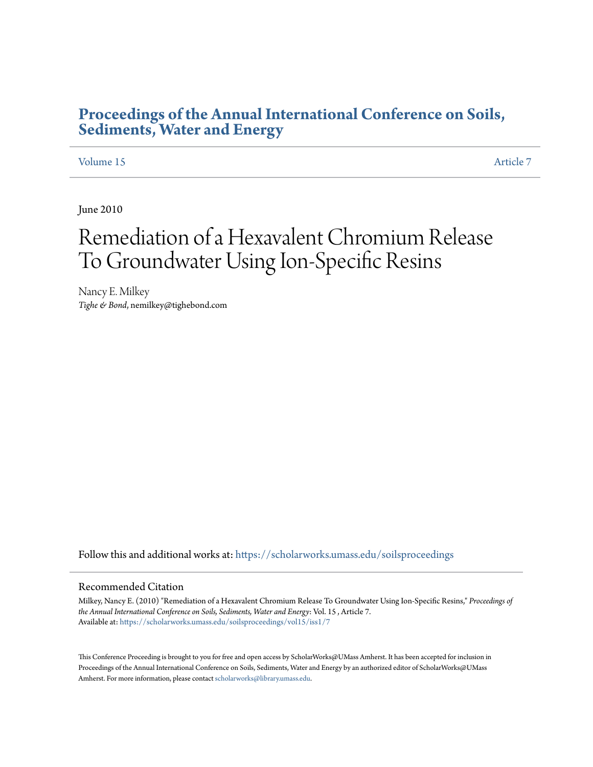## **[Proceedings of the Annual International Conference on Soils,](https://scholarworks.umass.edu/soilsproceedings?utm_source=scholarworks.umass.edu%2Fsoilsproceedings%2Fvol15%2Fiss1%2F7&utm_medium=PDF&utm_campaign=PDFCoverPages) [Sediments, Water and Energy](https://scholarworks.umass.edu/soilsproceedings?utm_source=scholarworks.umass.edu%2Fsoilsproceedings%2Fvol15%2Fiss1%2F7&utm_medium=PDF&utm_campaign=PDFCoverPages)**

#### [Volume 15](https://scholarworks.umass.edu/soilsproceedings/vol15?utm_source=scholarworks.umass.edu%2Fsoilsproceedings%2Fvol15%2Fiss1%2F7&utm_medium=PDF&utm_campaign=PDFCoverPages) [Article 7](https://scholarworks.umass.edu/soilsproceedings/vol15/iss1/7?utm_source=scholarworks.umass.edu%2Fsoilsproceedings%2Fvol15%2Fiss1%2F7&utm_medium=PDF&utm_campaign=PDFCoverPages)

June 2010

# Remediation of a Hexavalent Chromium Release To Groundwater Using Ion-Specific Resins

Nancy E. Milkey *Tighe & Bond*, nemilkey@tighebond.com

Follow this and additional works at: [https://scholarworks.umass.edu/soilsproceedings](https://scholarworks.umass.edu/soilsproceedings?utm_source=scholarworks.umass.edu%2Fsoilsproceedings%2Fvol15%2Fiss1%2F7&utm_medium=PDF&utm_campaign=PDFCoverPages)

#### Recommended Citation

Milkey, Nancy E. (2010) "Remediation of a Hexavalent Chromium Release To Groundwater Using Ion-Specific Resins," *Proceedings of the Annual International Conference on Soils, Sediments, Water and Energy*: Vol. 15 , Article 7. Available at: [https://scholarworks.umass.edu/soilsproceedings/vol15/iss1/7](https://scholarworks.umass.edu/soilsproceedings/vol15/iss1/7?utm_source=scholarworks.umass.edu%2Fsoilsproceedings%2Fvol15%2Fiss1%2F7&utm_medium=PDF&utm_campaign=PDFCoverPages)

This Conference Proceeding is brought to you for free and open access by ScholarWorks@UMass Amherst. It has been accepted for inclusion in Proceedings of the Annual International Conference on Soils, Sediments, Water and Energy by an authorized editor of ScholarWorks@UMass Amherst. For more information, please contact [scholarworks@library.umass.edu.](mailto:scholarworks@library.umass.edu)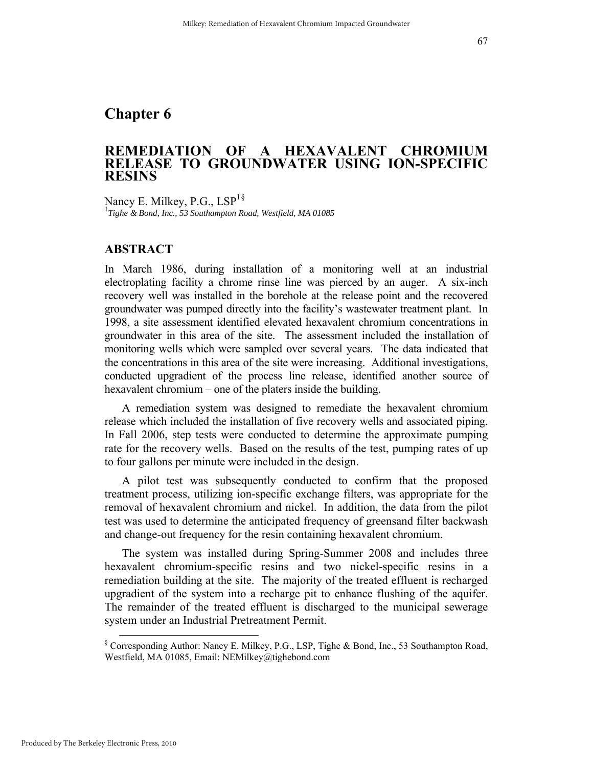## <span id="page-1-0"></span>**Chapter 6**

## **REMEDIATION OF A HEXAVALENT CHROMIUM RELEASE TO GROUNDWATER USING ION-SPECIFIC RESINS**

Nancy E. Milkey, P.G.,  $LSP<sup>1§</sup>$  $LSP<sup>1§</sup>$  $LSP<sup>1§</sup>$ 1 *Tighe & Bond, Inc., 53 Southampton Road, Westfield, MA 01085* 

#### **ABSTRACT**

In March 1986, during installation of a monitoring well at an industrial electroplating facility a chrome rinse line was pierced by an auger. A six-inch recovery well was installed in the borehole at the release point and the recovered groundwater was pumped directly into the facility's wastewater treatment plant. In 1998, a site assessment identified elevated hexavalent chromium concentrations in groundwater in this area of the site. The assessment included the installation of monitoring wells which were sampled over several years. The data indicated that the concentrations in this area of the site were increasing. Additional investigations, conducted upgradient of the process line release, identified another source of hexavalent chromium – one of the platers inside the building.

A remediation system was designed to remediate the hexavalent chromium release which included the installation of five recovery wells and associated piping. In Fall 2006, step tests were conducted to determine the approximate pumping rate for the recovery wells. Based on the results of the test, pumping rates of up to four gallons per minute were included in the design.

A pilot test was subsequently conducted to confirm that the proposed treatment process, utilizing ion-specific exchange filters, was appropriate for the removal of hexavalent chromium and nickel. In addition, the data from the pilot test was used to determine the anticipated frequency of greensand filter backwash and change-out frequency for the resin containing hexavalent chromium.

The system was installed during Spring-Summer 2008 and includes three hexavalent chromium-specific resins and two nickel-specific resins in a remediation building at the site. The majority of the treated effluent is recharged upgradient of the system into a recharge pit to enhance flushing of the aquifer. The remainder of the treated effluent is discharged to the municipal sewerage system under an Industrial Pretreatment Permit.

 <sup>§</sup> Corresponding Author: Nancy E. Milkey, P.G., LSP, Tighe & Bond, Inc., 53 Southampton Road, Westfield, MA 01085, Email: NEMilkey@tighebond.com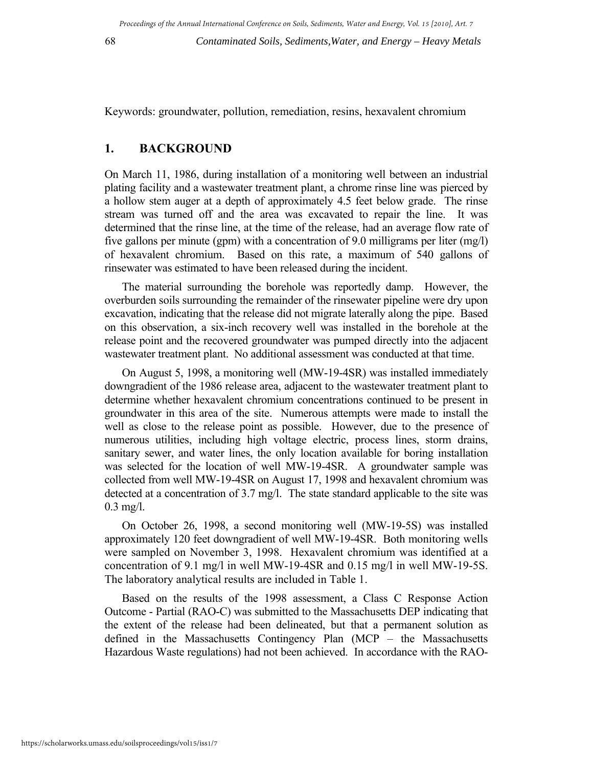68 *Contaminated Soils, Sediments,Water, and Energy – Heavy Metals*

Keywords: groundwater, pollution, remediation, resins, hexavalent chromium

## **1. BACKGROUND**

On March 11, 1986, during installation of a monitoring well between an industrial plating facility and a wastewater treatment plant, a chrome rinse line was pierced by a hollow stem auger at a depth of approximately 4.5 feet below grade. The rinse stream was turned off and the area was excavated to repair the line. It was determined that the rinse line, at the time of the release, had an average flow rate of five gallons per minute (gpm) with a concentration of 9.0 milligrams per liter (mg/l) of hexavalent chromium. Based on this rate, a maximum of 540 gallons of rinsewater was estimated to have been released during the incident.

The material surrounding the borehole was reportedly damp. However, the overburden soils surrounding the remainder of the rinsewater pipeline were dry upon excavation, indicating that the release did not migrate laterally along the pipe. Based on this observation, a six-inch recovery well was installed in the borehole at the release point and the recovered groundwater was pumped directly into the adjacent wastewater treatment plant. No additional assessment was conducted at that time.

On August 5, 1998, a monitoring well (MW-19-4SR) was installed immediately downgradient of the 1986 release area, adjacent to the wastewater treatment plant to determine whether hexavalent chromium concentrations continued to be present in groundwater in this area of the site. Numerous attempts were made to install the well as close to the release point as possible. However, due to the presence of numerous utilities, including high voltage electric, process lines, storm drains, sanitary sewer, and water lines, the only location available for boring installation was selected for the location of well MW-19-4SR. A groundwater sample was collected from well MW-19-4SR on August 17, 1998 and hexavalent chromium was detected at a concentration of 3.7 mg/l. The state standard applicable to the site was 0.3 mg/l.

On October 26, 1998, a second monitoring well (MW-19-5S) was installed approximately 120 feet downgradient of well MW-19-4SR. Both monitoring wells were sampled on November 3, 1998. Hexavalent chromium was identified at a concentration of 9.1 mg/l in well MW-19-4SR and 0.15 mg/l in well MW-19-5S. The laboratory analytical results are included in Table 1.

Based on the results of the 1998 assessment, a Class C Response Action Outcome - Partial (RAO-C) was submitted to the Massachusetts DEP indicating that the extent of the release had been delineated, but that a permanent solution as defined in the Massachusetts Contingency Plan (MCP – the Massachusetts Hazardous Waste regulations) had not been achieved. In accordance with the RAO-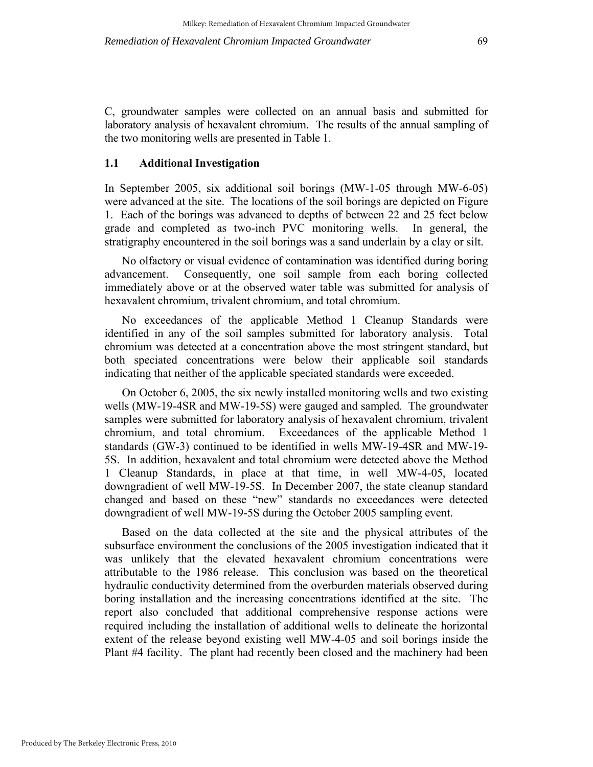C, groundwater samples were collected on an annual basis and submitted for laboratory analysis of hexavalent chromium. The results of the annual sampling of the two monitoring wells are presented in Table 1.

#### **1.1 Additional Investigation**

In September 2005, six additional soil borings (MW-1-05 through MW-6-05) were advanced at the site. The locations of the soil borings are depicted on Figure 1. Each of the borings was advanced to depths of between 22 and 25 feet below grade and completed as two-inch PVC monitoring wells. In general, the stratigraphy encountered in the soil borings was a sand underlain by a clay or silt.

No olfactory or visual evidence of contamination was identified during boring advancement. Consequently, one soil sample from each boring collected immediately above or at the observed water table was submitted for analysis of hexavalent chromium, trivalent chromium, and total chromium.

No exceedances of the applicable Method 1 Cleanup Standards were identified in any of the soil samples submitted for laboratory analysis. Total chromium was detected at a concentration above the most stringent standard, but both speciated concentrations were below their applicable soil standards indicating that neither of the applicable speciated standards were exceeded.

On October 6, 2005, the six newly installed monitoring wells and two existing wells (MW-19-4SR and MW-19-5S) were gauged and sampled. The groundwater samples were submitted for laboratory analysis of hexavalent chromium, trivalent chromium, and total chromium. Exceedances of the applicable Method 1 standards (GW-3) continued to be identified in wells MW-19-4SR and MW-19- 5S. In addition, hexavalent and total chromium were detected above the Method 1 Cleanup Standards, in place at that time, in well MW-4-05, located downgradient of well MW-19-5S. In December 2007, the state cleanup standard changed and based on these "new" standards no exceedances were detected downgradient of well MW-19-5S during the October 2005 sampling event.

Based on the data collected at the site and the physical attributes of the subsurface environment the conclusions of the 2005 investigation indicated that it was unlikely that the elevated hexavalent chromium concentrations were attributable to the 1986 release. This conclusion was based on the theoretical hydraulic conductivity determined from the overburden materials observed during boring installation and the increasing concentrations identified at the site. The report also concluded that additional comprehensive response actions were required including the installation of additional wells to delineate the horizontal extent of the release beyond existing well MW-4-05 and soil borings inside the Plant #4 facility. The plant had recently been closed and the machinery had been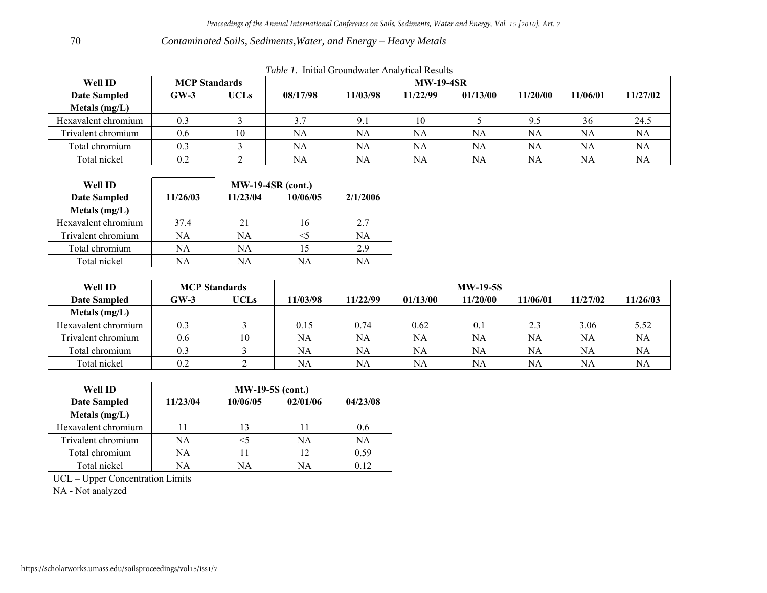#### *Contaminated Soils, Sediments,Water, and Energy – Heavy Metals*

| <i>Lable 1.</i> Initial Groundwater Analytical Results |                      |             |                  |          |          |          |          |           |          |
|--------------------------------------------------------|----------------------|-------------|------------------|----------|----------|----------|----------|-----------|----------|
| Well ID                                                | <b>MCP</b> Standards |             | <b>MW-19-4SR</b> |          |          |          |          |           |          |
| Date Sampled                                           | $GW-3$               | <b>UCLs</b> | 08/17/98         | 11/03/98 | 11/22/99 | 01/13/00 | 11/20/00 | 11/06/01  | 11/27/02 |
| Metals $(mg/L)$                                        |                      |             |                  |          |          |          |          |           |          |
| Hexavalent chromium                                    | 0.3                  |             | 3.7              | 9.1      | 10       |          | 9.5      | 36        | 24.5     |
| Trivalent chromium                                     | 0.6                  | 10          | NA               | NA       | NA       | NA       | NΑ       | <b>NA</b> | NA       |
| Total chromium                                         | 0.3                  |             | NA               | NA       | NA       | NA       | NA       | NA        | NA       |
| Total nickel                                           | 0.2                  |             | NA               | NA       | NΑ       | NA       | NA       | NA        | NA       |

|  | Table 1. Initial Groundwater Analytical Results |  |
|--|-------------------------------------------------|--|
|  |                                                 |  |

| Well ID             | <b>MW-19-4SR (cont.)</b> |          |          |          |  |  |  |  |
|---------------------|--------------------------|----------|----------|----------|--|--|--|--|
| <b>Date Sampled</b> | 11/26/03                 | 11/23/04 | 10/06/05 | 2/1/2006 |  |  |  |  |
| Metals $(mg/L)$     |                          |          |          |          |  |  |  |  |
| Hexavalent chromium | 37.4                     | 21       | 16       | 2.7      |  |  |  |  |
| Trivalent chromium  | NA                       | NA       |          | NA       |  |  |  |  |
| Total chromium      | NA                       | NA       |          | 2.9      |  |  |  |  |
| Total nickel        | NA                       | ΝA       | NΑ       | NA       |  |  |  |  |

| Well ID             | <b>MCP</b> Standards |             | <b>MW-19-5S</b> |          |          |          |          |          |          |
|---------------------|----------------------|-------------|-----------------|----------|----------|----------|----------|----------|----------|
| <b>Date Sampled</b> | $GW-3$               | <b>UCLs</b> | 11/03/98        | 11/22/99 | 01/13/00 | 11/20/00 | 11/06/01 | 11/27/02 | 11/26/03 |
| Metals $(mg/L)$     |                      |             |                 |          |          |          |          |          |          |
| Hexavalent chromium | 0.3                  |             | 0.15            | 0.74     | 0.62     | 0.1      | 2.3      | 3.06     | 5.52     |
| Trivalent chromium  | 0.6                  | 10          | <b>NA</b>       | NA       | NA       | NA       | NA       | NA       | NA       |
| Total chromium      | 0.3                  |             | <b>NA</b>       | NA       | NA       | NA       | NA       | NA       | NA       |
| Total nickel        | 0.2                  |             | <b>NA</b>       | NA       | NA       | NA       | NΑ       | NA       | NA       |

| Well ID             | <b>MW-19-5S (cont.)</b> |          |          |          |  |  |  |  |
|---------------------|-------------------------|----------|----------|----------|--|--|--|--|
| <b>Date Sampled</b> | 11/23/04                | 10/06/05 | 02/01/06 | 04/23/08 |  |  |  |  |
| Metals $(mg/L)$     |                         |          |          |          |  |  |  |  |
| Hexavalent chromium |                         | 13       |          | 0.6      |  |  |  |  |
| Trivalent chromium  | NA                      | <5       | NA       | NA       |  |  |  |  |
| Total chromium      | NA                      |          | 12       | 0.59     |  |  |  |  |
| Total nickel        | NA                      | NΑ       | NΑ       | በ 12     |  |  |  |  |

UCL – Upper Concentration Limits

NA - Not analyzed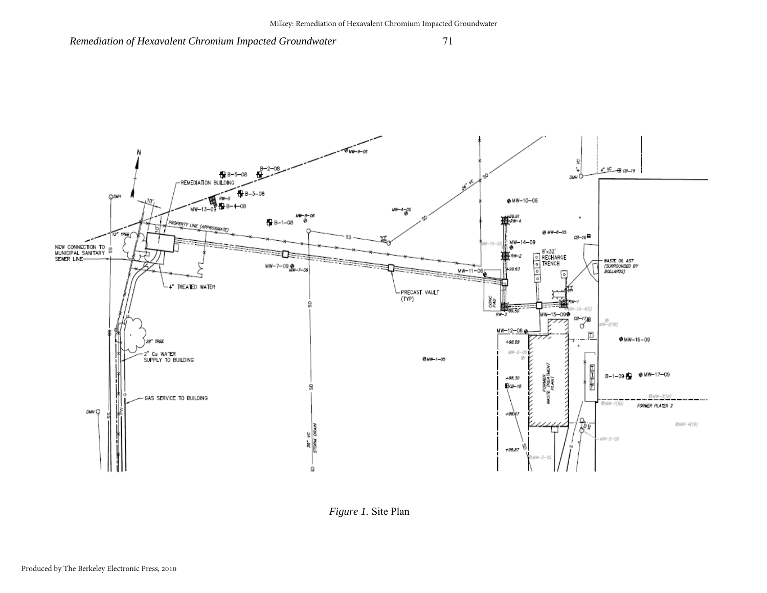

*Figure 1.* Site Plan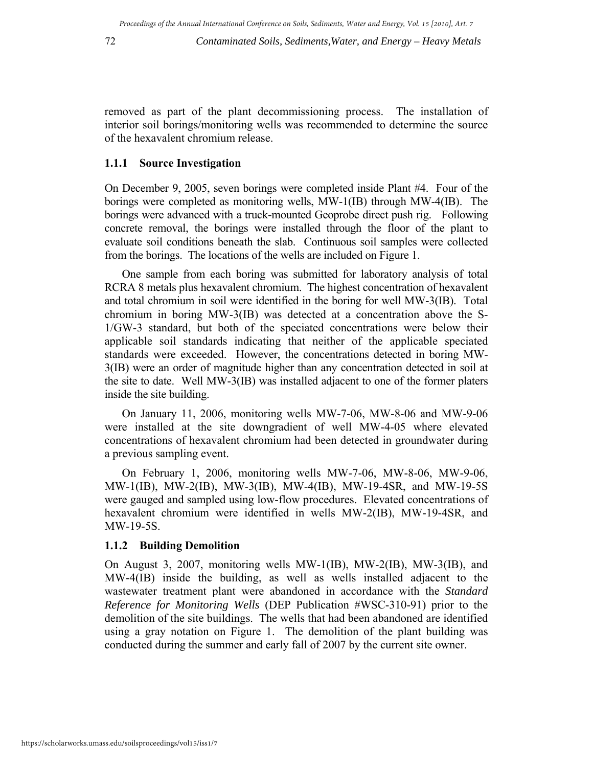removed as part of the plant decommissioning process. The installation of interior soil borings/monitoring wells was recommended to determine the source of the hexavalent chromium release.

#### **1.1.1 Source Investigation**

On December 9, 2005, seven borings were completed inside Plant #4. Four of the borings were completed as monitoring wells, MW-1(IB) through MW-4(IB). The borings were advanced with a truck-mounted Geoprobe direct push rig. Following concrete removal, the borings were installed through the floor of the plant to evaluate soil conditions beneath the slab. Continuous soil samples were collected from the borings. The locations of the wells are included on Figure 1.

One sample from each boring was submitted for laboratory analysis of total RCRA 8 metals plus hexavalent chromium. The highest concentration of hexavalent and total chromium in soil were identified in the boring for well MW-3(IB). Total chromium in boring MW-3(IB) was detected at a concentration above the S-1/GW-3 standard, but both of the speciated concentrations were below their applicable soil standards indicating that neither of the applicable speciated standards were exceeded. However, the concentrations detected in boring MW-3(IB) were an order of magnitude higher than any concentration detected in soil at the site to date. Well MW-3(IB) was installed adjacent to one of the former platers inside the site building.

On January 11, 2006, monitoring wells MW-7-06, MW-8-06 and MW-9-06 were installed at the site downgradient of well MW-4-05 where elevated concentrations of hexavalent chromium had been detected in groundwater during a previous sampling event.

On February 1, 2006, monitoring wells MW-7-06, MW-8-06, MW-9-06, MW-1(IB), MW-2(IB), MW-3(IB), MW-4(IB), MW-19-4SR, and MW-19-5S were gauged and sampled using low-flow procedures. Elevated concentrations of hexavalent chromium were identified in wells MW-2(IB), MW-19-4SR, and MW-19-5S.

#### **1.1.2 Building Demolition**

On August 3, 2007, monitoring wells MW-1(IB), MW-2(IB), MW-3(IB), and MW-4(IB) inside the building, as well as wells installed adjacent to the wastewater treatment plant were abandoned in accordance with the *Standard Reference for Monitoring Wells* (DEP Publication #WSC-310-91) prior to the demolition of the site buildings. The wells that had been abandoned are identified using a gray notation on Figure 1. The demolition of the plant building was conducted during the summer and early fall of 2007 by the current site owner.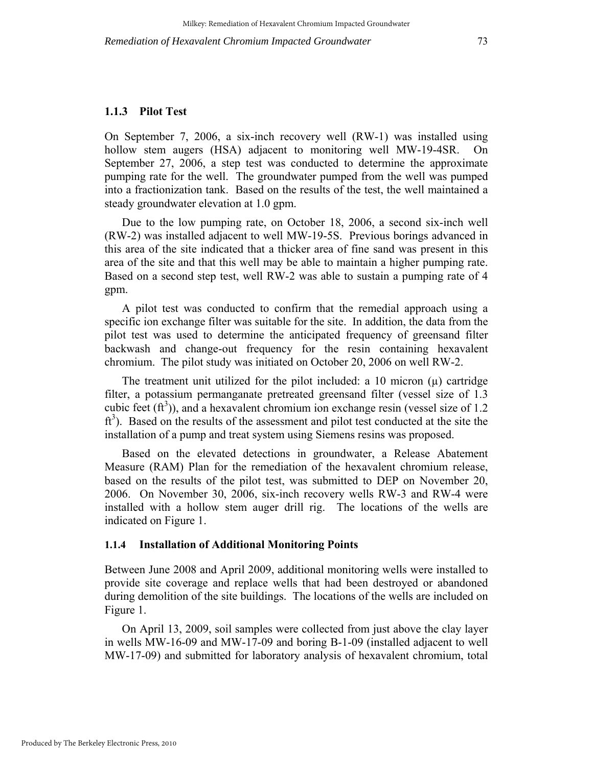#### **1.1.3 Pilot Test**

On September 7, 2006, a six-inch recovery well (RW-1) was installed using hollow stem augers (HSA) adjacent to monitoring well MW-19-4SR. On September 27, 2006, a step test was conducted to determine the approximate pumping rate for the well. The groundwater pumped from the well was pumped into a fractionization tank. Based on the results of the test, the well maintained a steady groundwater elevation at 1.0 gpm.

Due to the low pumping rate, on October 18, 2006, a second six-inch well (RW-2) was installed adjacent to well MW-19-5S. Previous borings advanced in this area of the site indicated that a thicker area of fine sand was present in this area of the site and that this well may be able to maintain a higher pumping rate. Based on a second step test, well RW-2 was able to sustain a pumping rate of 4 gpm.

A pilot test was conducted to confirm that the remedial approach using a specific ion exchange filter was suitable for the site. In addition, the data from the pilot test was used to determine the anticipated frequency of greensand filter backwash and change-out frequency for the resin containing hexavalent chromium. The pilot study was initiated on October 20, 2006 on well RW-2.

The treatment unit utilized for the pilot included: a 10 micron  $(\mu)$  cartridge filter, a potassium permanganate pretreated greensand filter (vessel size of 1.3 cubic feet  $(ft^3)$ ), and a hexavalent chromium ion exchange resin (vessel size of 1.2 ft<sup>3</sup>). Based on the results of the assessment and pilot test conducted at the site the installation of a pump and treat system using Siemens resins was proposed.

Based on the elevated detections in groundwater, a Release Abatement Measure (RAM) Plan for the remediation of the hexavalent chromium release, based on the results of the pilot test, was submitted to DEP on November 20, 2006. On November 30, 2006, six-inch recovery wells RW-3 and RW-4 were installed with a hollow stem auger drill rig. The locations of the wells are indicated on Figure 1.

#### **1.1.4 Installation of Additional Monitoring Points**

Between June 2008 and April 2009, additional monitoring wells were installed to provide site coverage and replace wells that had been destroyed or abandoned during demolition of the site buildings. The locations of the wells are included on Figure 1.

On April 13, 2009, soil samples were collected from just above the clay layer in wells MW-16-09 and MW-17-09 and boring B-1-09 (installed adjacent to well MW-17-09) and submitted for laboratory analysis of hexavalent chromium, total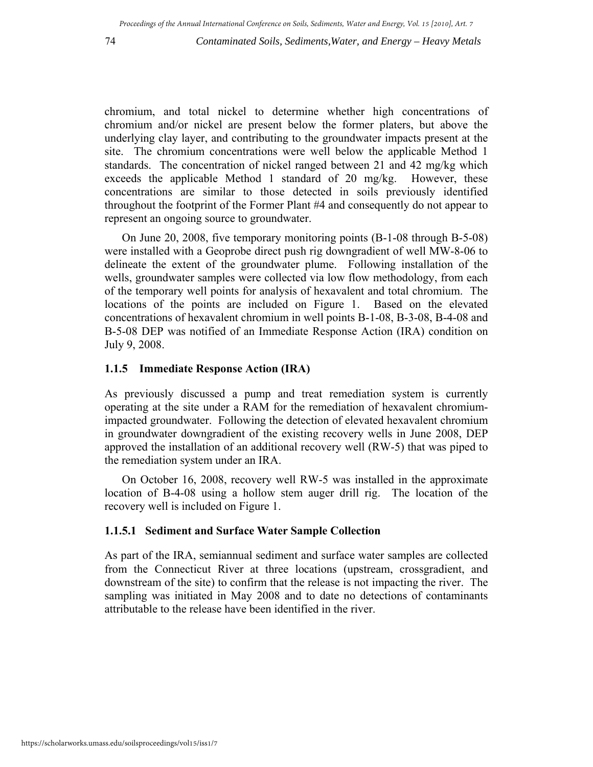74 *Contaminated Soils, Sediments,Water, and Energy – Heavy Metals*

chromium, and total nickel to determine whether high concentrations of chromium and/or nickel are present below the former platers, but above the underlying clay layer, and contributing to the groundwater impacts present at the site. The chromium concentrations were well below the applicable Method 1 standards. The concentration of nickel ranged between 21 and 42 mg/kg which exceeds the applicable Method 1 standard of 20 mg/kg. However, these concentrations are similar to those detected in soils previously identified throughout the footprint of the Former Plant #4 and consequently do not appear to represent an ongoing source to groundwater.

On June 20, 2008, five temporary monitoring points (B-1-08 through B-5-08) were installed with a Geoprobe direct push rig downgradient of well MW-8-06 to delineate the extent of the groundwater plume. Following installation of the wells, groundwater samples were collected via low flow methodology, from each of the temporary well points for analysis of hexavalent and total chromium. The locations of the points are included on Figure 1. Based on the elevated concentrations of hexavalent chromium in well points B-1-08, B-3-08, B-4-08 and B-5-08 DEP was notified of an Immediate Response Action (IRA) condition on July 9, 2008.

#### **1.1.5 Immediate Response Action (IRA)**

As previously discussed a pump and treat remediation system is currently operating at the site under a RAM for the remediation of hexavalent chromiumimpacted groundwater. Following the detection of elevated hexavalent chromium in groundwater downgradient of the existing recovery wells in June 2008, DEP approved the installation of an additional recovery well (RW-5) that was piped to the remediation system under an IRA.

On October 16, 2008, recovery well RW-5 was installed in the approximate location of B-4-08 using a hollow stem auger drill rig. The location of the recovery well is included on Figure 1.

#### **1.1.5.1 Sediment and Surface Water Sample Collection**

As part of the IRA, semiannual sediment and surface water samples are collected from the Connecticut River at three locations (upstream, crossgradient, and downstream of the site) to confirm that the release is not impacting the river. The sampling was initiated in May 2008 and to date no detections of contaminants attributable to the release have been identified in the river.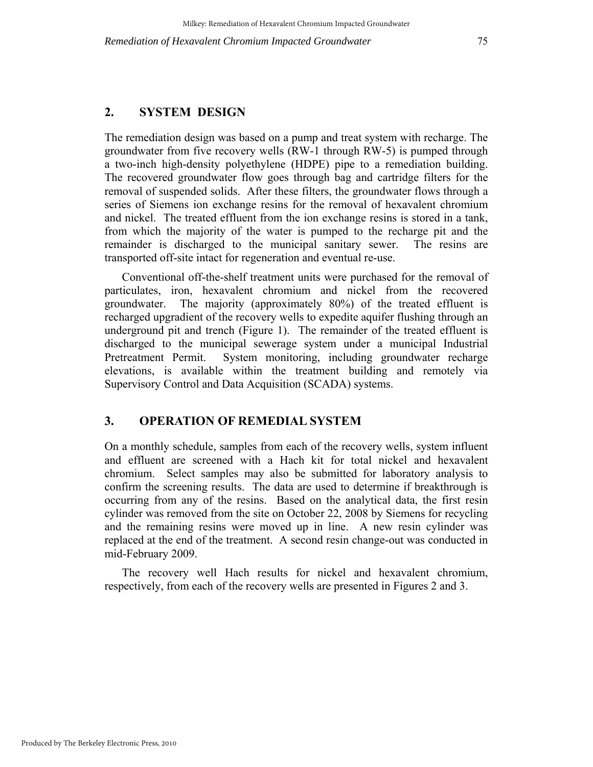## **2. SYSTEM DESIGN**

The remediation design was based on a pump and treat system with recharge. The groundwater from five recovery wells (RW-1 through RW-5) is pumped through a two-inch high-density polyethylene (HDPE) pipe to a remediation building. The recovered groundwater flow goes through bag and cartridge filters for the removal of suspended solids. After these filters, the groundwater flows through a series of Siemens ion exchange resins for the removal of hexavalent chromium and nickel. The treated effluent from the ion exchange resins is stored in a tank, from which the majority of the water is pumped to the recharge pit and the remainder is discharged to the municipal sanitary sewer. The resins are transported off-site intact for regeneration and eventual re-use.

Conventional off-the-shelf treatment units were purchased for the removal of particulates, iron, hexavalent chromium and nickel from the recovered groundwater. The majority (approximately 80%) of the treated effluent is recharged upgradient of the recovery wells to expedite aquifer flushing through an underground pit and trench (Figure 1). The remainder of the treated effluent is discharged to the municipal sewerage system under a municipal Industrial Pretreatment Permit. System monitoring, including groundwater recharge elevations, is available within the treatment building and remotely via Supervisory Control and Data Acquisition (SCADA) systems.

#### **3. OPERATION OF REMEDIAL SYSTEM**

On a monthly schedule, samples from each of the recovery wells, system influent and effluent are screened with a Hach kit for total nickel and hexavalent chromium. Select samples may also be submitted for laboratory analysis to confirm the screening results. The data are used to determine if breakthrough is occurring from any of the resins. Based on the analytical data, the first resin cylinder was removed from the site on October 22, 2008 by Siemens for recycling and the remaining resins were moved up in line. A new resin cylinder was replaced at the end of the treatment. A second resin change-out was conducted in mid-February 2009.

The recovery well Hach results for nickel and hexavalent chromium, respectively, from each of the recovery wells are presented in Figures 2 and 3.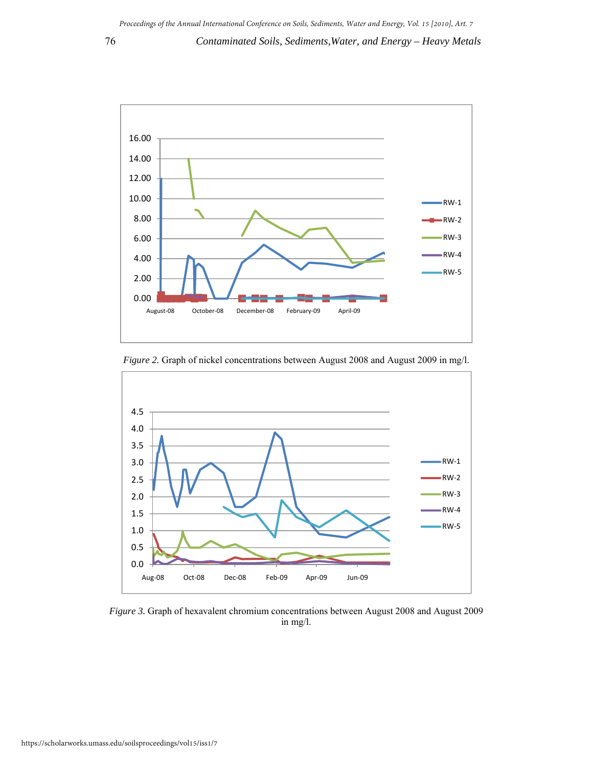

*Figure 2.* Graph of nickel concentrations between August 2008 and August 2009 in mg/l.



*Figure 3.* Graph of hexavalent chromium concentrations between August 2008 and August 2009 in mg/l.